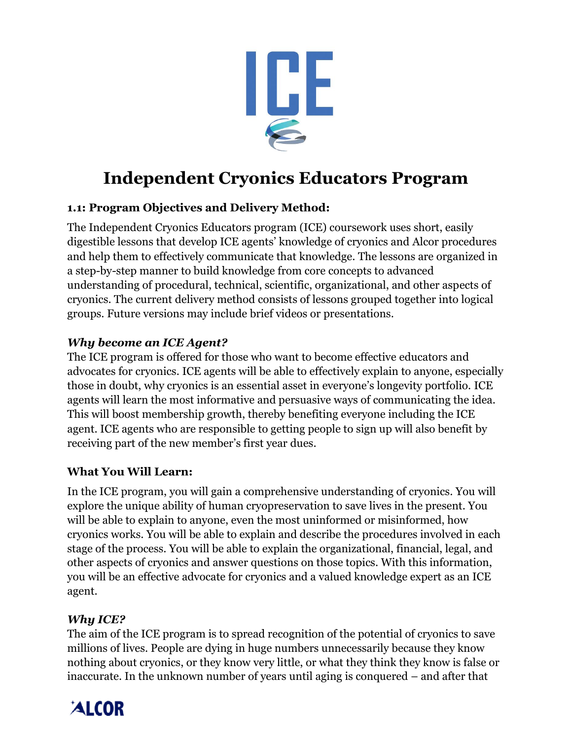

# **Independent Cryonics Educators Program**

## **1.1: Program Objectives and Delivery Method:**

The Independent Cryonics Educators program (ICE) coursework uses short, easily digestible lessons that develop ICE agents' knowledge of cryonics and Alcor procedures and help them to effectively communicate that knowledge. The lessons are organized in a step-by-step manner to build knowledge from core concepts to advanced understanding of procedural, technical, scientific, organizational, and other aspects of cryonics. The current delivery method consists of lessons grouped together into logical groups. Future versions may include brief videos or presentations.

#### *Why become an ICE Agent?*

The ICE program is offered for those who want to become effective educators and advocates for cryonics. ICE agents will be able to effectively explain to anyone, especially those in doubt, why cryonics is an essential asset in everyone's longevity portfolio. ICE agents will learn the most informative and persuasive ways of communicating the idea. This will boost membership growth, thereby benefiting everyone including the ICE agent. ICE agents who are responsible to getting people to sign up will also benefit by receiving part of the new member's first year dues.

#### **What You Will Learn:**

In the ICE program, you will gain a comprehensive understanding of cryonics. You will explore the unique ability of human cryopreservation to save lives in the present. You will be able to explain to anyone, even the most uninformed or misinformed, how cryonics works. You will be able to explain and describe the procedures involved in each stage of the process. You will be able to explain the organizational, financial, legal, and other aspects of cryonics and answer questions on those topics. With this information, you will be an effective advocate for cryonics and a valued knowledge expert as an ICE agent.

#### *Why ICE?*

The aim of the ICE program is to spread recognition of the potential of cryonics to save millions of lives. People are dying in huge numbers unnecessarily because they know nothing about cryonics, or they know very little, or what they think they know is false or inaccurate. In the unknown number of years until aging is conquered – and after that

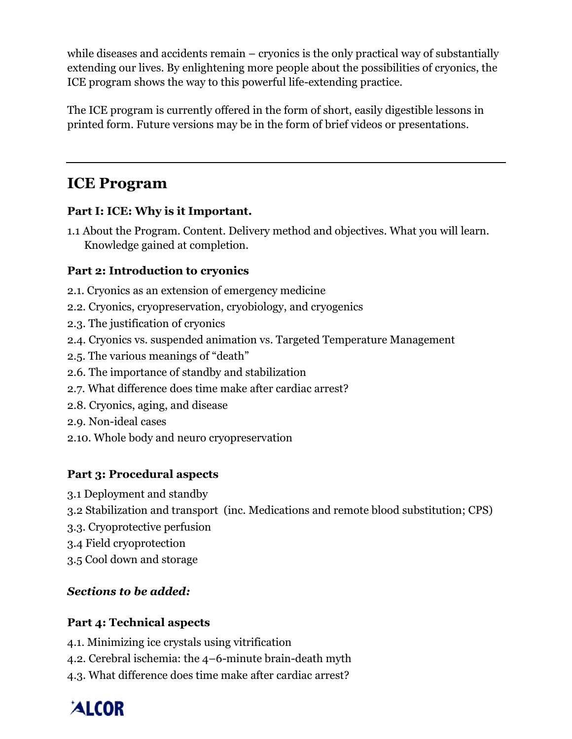while diseases and accidents remain – cryonics is the only practical way of substantially extending our lives. By enlightening more people about the possibilities of cryonics, the ICE program shows the way to this powerful life-extending practice.

The ICE program is currently offered in the form of short, easily digestible lessons in printed form. Future versions may be in the form of brief videos or presentations.

## **ICE Program**

## **Part I: ICE: Why is it Important.**

1.1 About the Program. Content. Delivery method and objectives. What you will learn. Knowledge gained at completion.

## **Part 2: Introduction to cryonics**

- 2.1. Cryonics as an extension of emergency medicine
- 2.2. Cryonics, cryopreservation, cryobiology, and cryogenics
- 2.3. The justification of cryonics
- 2.4. Cryonics vs. suspended animation vs. Targeted Temperature Management
- 2.5. The various meanings of "death"
- 2.6. The importance of standby and stabilization
- 2.7. What difference does time make after cardiac arrest?
- 2.8. Cryonics, aging, and disease
- 2.9. Non-ideal cases
- 2.10. Whole body and neuro cryopreservation

## **Part 3: Procedural aspects**

- 3.1 Deployment and standby
- 3.2 Stabilization and transport (inc. Medications and remote blood substitution; CPS)
- 3.3. Cryoprotective perfusion
- 3.4 Field cryoprotection
- 3.5 Cool down and storage

## *Sections to be added:*

## **Part 4: Technical aspects**

- 4.1. Minimizing ice crystals using vitrification
- 4.2. Cerebral ischemia: the 4–6-minute brain-death myth
- 4.3. What difference does time make after cardiac arrest?

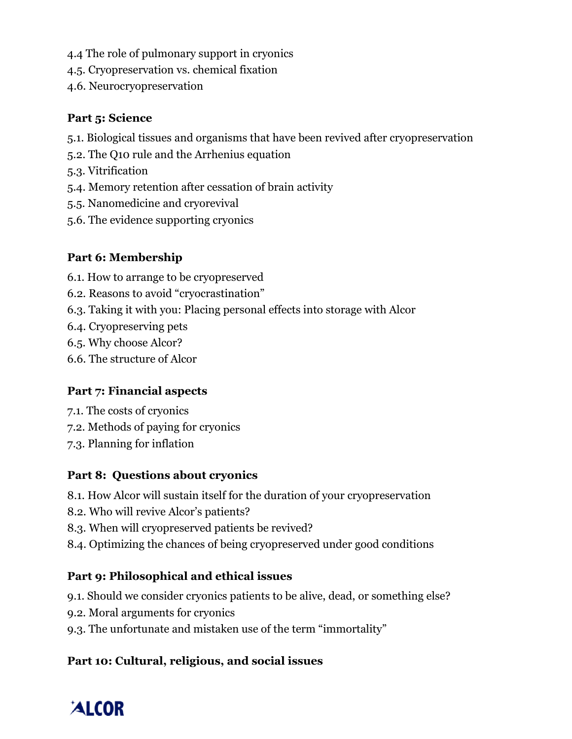- 4.4 The role of pulmonary support in cryonics
- 4.5. Cryopreservation vs. chemical fixation
- 4.6. Neurocryopreservation

#### **Part 5: Science**

- 5.1. Biological tissues and organisms that have been revived after cryopreservation
- 5.2. The Q10 rule and the Arrhenius equation
- 5.3. Vitrification
- 5.4. Memory retention after cessation of brain activity
- 5.5. Nanomedicine and cryorevival
- 5.6. The evidence supporting cryonics

## **Part 6: Membership**

- 6.1. How to arrange to be cryopreserved
- 6.2. Reasons to avoid "cryocrastination"
- 6.3. Taking it with you: Placing personal effects into storage with Alcor
- 6.4. Cryopreserving pets
- 6.5. Why choose Alcor?
- 6.6. The structure of Alcor

#### **Part 7: Financial aspects**

- 7.1. The costs of cryonics
- 7.2. Methods of paying for cryonics
- 7.3. Planning for inflation

#### **Part 8: Questions about cryonics**

- 8.1. How Alcor will sustain itself for the duration of your cryopreservation
- 8.2. Who will revive Alcor's patients?
- 8.3. When will cryopreserved patients be revived?
- 8.4. Optimizing the chances of being cryopreserved under good conditions

#### **Part 9: Philosophical and ethical issues**

- 9.1. Should we consider cryonics patients to be alive, dead, or something else?
- 9.2. Moral arguments for cryonics
- 9.3. The unfortunate and mistaken use of the term "immortality"

## **Part 10: Cultural, religious, and social issues**